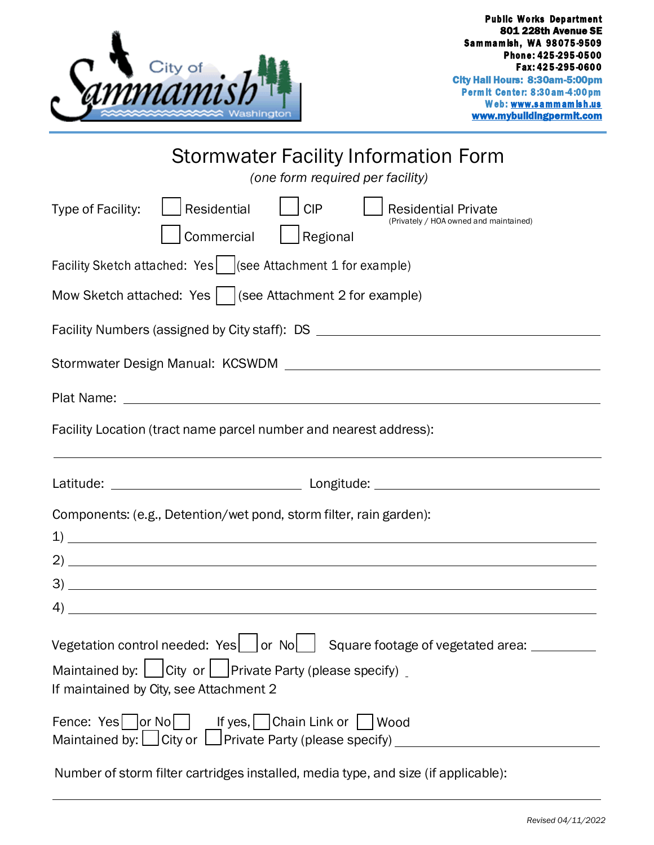

| Stormwater Facility Information Form<br>(one form required per facility)                                                                                 |
|----------------------------------------------------------------------------------------------------------------------------------------------------------|
| Residential<br><b>CIP</b><br>Type of Facility:<br><b>Residential Private</b><br>(Privately / HOA owned and maintained)<br>Commercial<br>$\vert$ Regional |
| Facility Sketch attached: Yes   (see Attachment 1 for example)                                                                                           |
| Mow Sketch attached: Yes     (see Attachment 2 for example)                                                                                              |
| Facility Numbers (assigned by City staff): DS __________________________________                                                                         |
|                                                                                                                                                          |
|                                                                                                                                                          |
| Facility Location (tract name parcel number and nearest address):                                                                                        |
|                                                                                                                                                          |
|                                                                                                                                                          |
| Components: (e.g., Detention/wet pond, storm filter, rain garden):                                                                                       |
|                                                                                                                                                          |
|                                                                                                                                                          |
|                                                                                                                                                          |
| Vegetation control needed: Yes   or No   Square footage of vegetated area: ______                                                                        |
| Maintained by:     City or     Private Party (please specify) _<br>If maintained by City, see Attachment 2                                               |
| Fence: Yes or No Fence: Yes, Chain Link or Nood<br>Maintained by: City or Private Party (please specify) __________________________                      |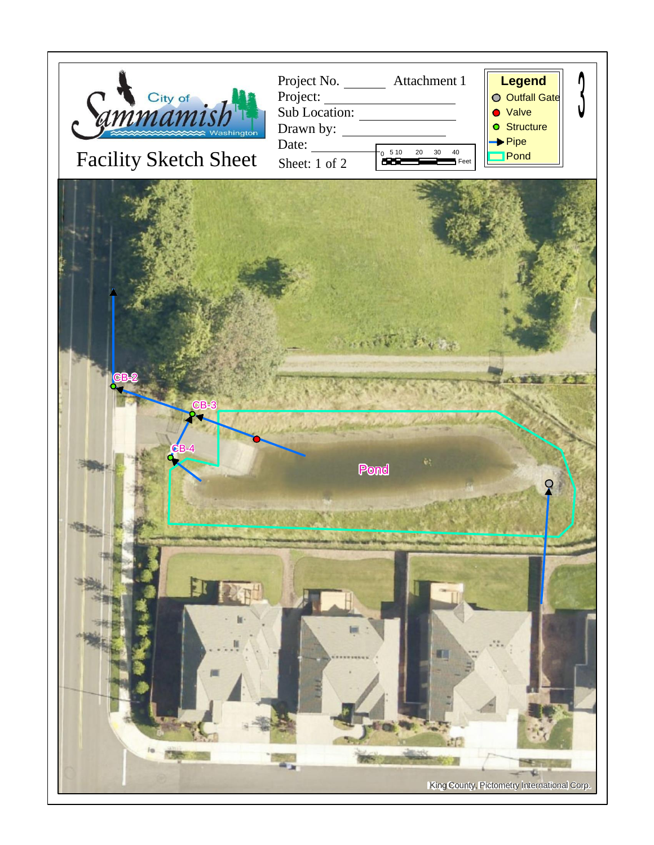